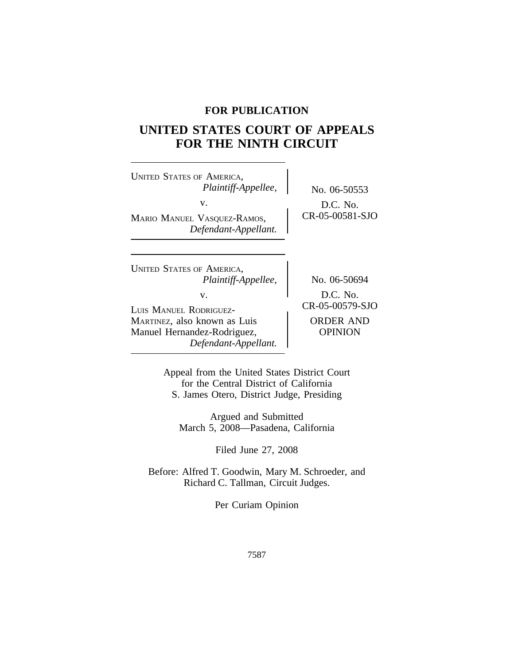# **FOR PUBLICATION**

# **UNITED STATES COURT OF APPEALS FOR THE NINTH CIRCUIT**

| <b>UNITED STATES OF AMERICA,</b><br>Plaintiff-Appellee,     | No. 06-50553                                |
|-------------------------------------------------------------|---------------------------------------------|
| v.<br>MARIO MANUEL VASQUEZ-RAMOS,<br>Defendant-Appellant.   | D.C. No.<br>CR-05-00581-SJO                 |
| <b>UNITED STATES OF AMERICA,</b>                            |                                             |
| Plaintiff-Appellee,<br>V.<br>LUIS MANUEL RODRIGUEZ-         | No. 06-50694<br>D.C. No.<br>CR-05-00579-SJO |
| MARTINEZ, also known as Luis<br>Manuel Hernandez-Rodriguez, | <b>ORDER AND</b><br>OPINION                 |

Appeal from the United States District Court for the Central District of California S. James Otero, District Judge, Presiding

*Defendant-Appellant.*

Argued and Submitted March 5, 2008—Pasadena, California

Filed June 27, 2008

Before: Alfred T. Goodwin, Mary M. Schroeder, and Richard C. Tallman, Circuit Judges.

Per Curiam Opinion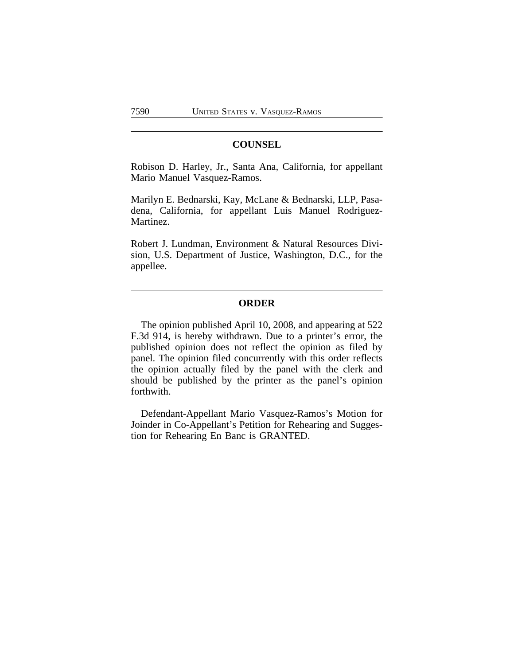# **COUNSEL**

Robison D. Harley, Jr., Santa Ana, California, for appellant Mario Manuel Vasquez-Ramos.

Marilyn E. Bednarski, Kay, McLane & Bednarski, LLP, Pasadena, California, for appellant Luis Manuel Rodriguez-Martinez.

Robert J. Lundman, Environment & Natural Resources Division, U.S. Department of Justice, Washington, D.C., for the appellee.

#### **ORDER**

The opinion published April 10, 2008, and appearing at 522 F.3d 914, is hereby withdrawn. Due to a printer's error, the published opinion does not reflect the opinion as filed by panel. The opinion filed concurrently with this order reflects the opinion actually filed by the panel with the clerk and should be published by the printer as the panel's opinion forthwith.

Defendant-Appellant Mario Vasquez-Ramos's Motion for Joinder in Co-Appellant's Petition for Rehearing and Suggestion for Rehearing En Banc is GRANTED.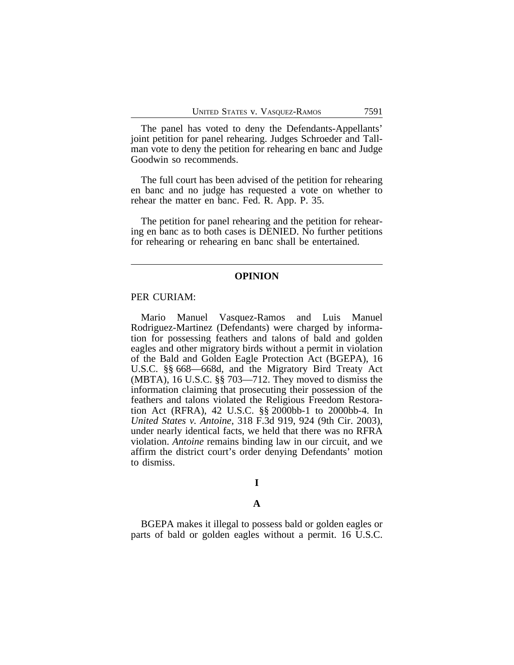The panel has voted to deny the Defendants-Appellants' joint petition for panel rehearing. Judges Schroeder and Tallman vote to deny the petition for rehearing en banc and Judge Goodwin so recommends.

The full court has been advised of the petition for rehearing en banc and no judge has requested a vote on whether to rehear the matter en banc. Fed. R. App. P. 35.

The petition for panel rehearing and the petition for rehearing en banc as to both cases is DENIED. No further petitions for rehearing or rehearing en banc shall be entertained.

#### **OPINION**

#### PER CURIAM:

Mario Manuel Vasquez-Ramos and Luis Manuel Rodriguez-Martinez (Defendants) were charged by information for possessing feathers and talons of bald and golden eagles and other migratory birds without a permit in violation of the Bald and Golden Eagle Protection Act (BGEPA), 16 U.S.C. §§ 668—668d, and the Migratory Bird Treaty Act (MBTA), 16 U.S.C. §§ 703—712. They moved to dismiss the information claiming that prosecuting their possession of the feathers and talons violated the Religious Freedom Restoration Act (RFRA), 42 U.S.C. §§ 2000bb-1 to 2000bb-4. In *United States v. Antoine*, 318 F.3d 919, 924 (9th Cir. 2003), under nearly identical facts, we held that there was no RFRA violation. *Antoine* remains binding law in our circuit, and we affirm the district court's order denying Defendants' motion to dismiss.

# **I**

#### **A**

BGEPA makes it illegal to possess bald or golden eagles or parts of bald or golden eagles without a permit. 16 U.S.C.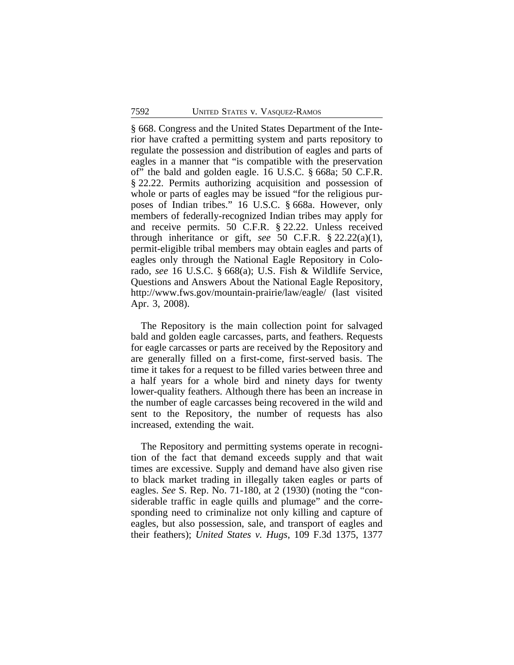§ 668. Congress and the United States Department of the Interior have crafted a permitting system and parts repository to regulate the possession and distribution of eagles and parts of eagles in a manner that "is compatible with the preservation of" the bald and golden eagle. 16 U.S.C. § 668a; 50 C.F.R. § 22.22. Permits authorizing acquisition and possession of whole or parts of eagles may be issued "for the religious purposes of Indian tribes." 16 U.S.C. § 668a. However, only members of federally-recognized Indian tribes may apply for and receive permits. 50 C.F.R. § 22.22. Unless received through inheritance or gift, *see* 50 C.F.R. § 22.22(a)(1), permit-eligible tribal members may obtain eagles and parts of eagles only through the National Eagle Repository in Colorado, *see* 16 U.S.C. § 668(a); U.S. Fish & Wildlife Service, Questions and Answers About the National Eagle Repository, http://www.fws.gov/mountain-prairie/law/eagle/ (last visited Apr. 3, 2008).

The Repository is the main collection point for salvaged bald and golden eagle carcasses, parts, and feathers. Requests for eagle carcasses or parts are received by the Repository and are generally filled on a first-come, first-served basis. The time it takes for a request to be filled varies between three and a half years for a whole bird and ninety days for twenty lower-quality feathers. Although there has been an increase in the number of eagle carcasses being recovered in the wild and sent to the Repository, the number of requests has also increased, extending the wait.

The Repository and permitting systems operate in recognition of the fact that demand exceeds supply and that wait times are excessive. Supply and demand have also given rise to black market trading in illegally taken eagles or parts of eagles. *See* S. Rep. No. 71-180, at 2 (1930) (noting the "considerable traffic in eagle quills and plumage" and the corresponding need to criminalize not only killing and capture of eagles, but also possession, sale, and transport of eagles and their feathers); *United States v. Hugs*, 109 F.3d 1375, 1377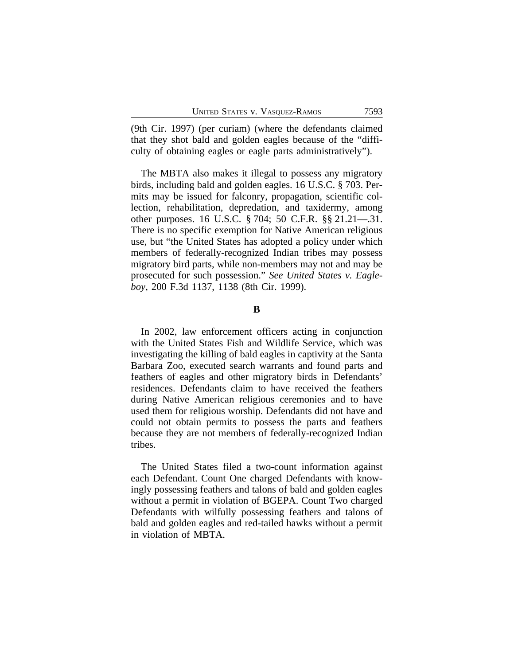(9th Cir. 1997) (per curiam) (where the defendants claimed that they shot bald and golden eagles because of the "difficulty of obtaining eagles or eagle parts administratively").

The MBTA also makes it illegal to possess any migratory birds, including bald and golden eagles. 16 U.S.C. § 703. Permits may be issued for falconry, propagation, scientific collection, rehabilitation, depredation, and taxidermy, among other purposes. 16 U.S.C. § 704; 50 C.F.R. §§ 21.21—.31. There is no specific exemption for Native American religious use, but "the United States has adopted a policy under which members of federally-recognized Indian tribes may possess migratory bird parts, while non-members may not and may be prosecuted for such possession." *See United States v. Eagleboy*, 200 F.3d 1137, 1138 (8th Cir. 1999).

**B**

In 2002, law enforcement officers acting in conjunction with the United States Fish and Wildlife Service, which was investigating the killing of bald eagles in captivity at the Santa Barbara Zoo, executed search warrants and found parts and feathers of eagles and other migratory birds in Defendants' residences. Defendants claim to have received the feathers during Native American religious ceremonies and to have used them for religious worship. Defendants did not have and could not obtain permits to possess the parts and feathers because they are not members of federally-recognized Indian tribes.

The United States filed a two-count information against each Defendant. Count One charged Defendants with knowingly possessing feathers and talons of bald and golden eagles without a permit in violation of BGEPA. Count Two charged Defendants with wilfully possessing feathers and talons of bald and golden eagles and red-tailed hawks without a permit in violation of MBTA.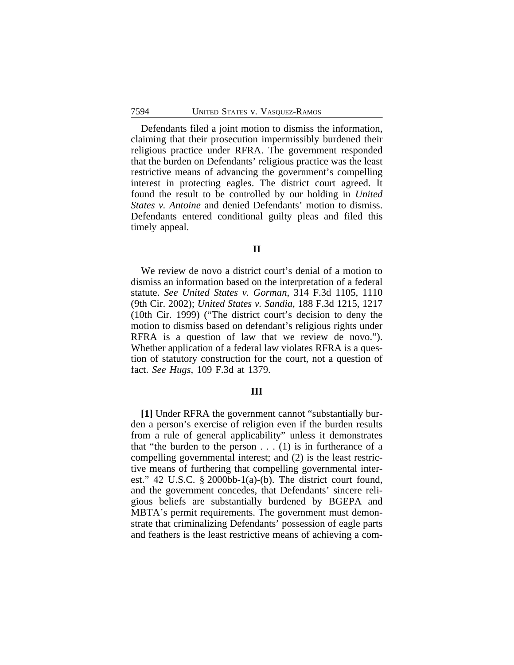Defendants filed a joint motion to dismiss the information, claiming that their prosecution impermissibly burdened their religious practice under RFRA. The government responded that the burden on Defendants' religious practice was the least restrictive means of advancing the government's compelling interest in protecting eagles. The district court agreed. It found the result to be controlled by our holding in *United States v. Antoine* and denied Defendants' motion to dismiss. Defendants entered conditional guilty pleas and filed this timely appeal.

# **II**

We review de novo a district court's denial of a motion to dismiss an information based on the interpretation of a federal statute. *See United States v. Gorman*, 314 F.3d 1105, 1110 (9th Cir. 2002); *United States v. Sandia*, 188 F.3d 1215, 1217 (10th Cir. 1999) ("The district court's decision to deny the motion to dismiss based on defendant's religious rights under RFRA is a question of law that we review de novo."). Whether application of a federal law violates RFRA is a question of statutory construction for the court, not a question of fact. *See Hugs*, 109 F.3d at 1379.

#### **III**

**[1]** Under RFRA the government cannot "substantially burden a person's exercise of religion even if the burden results from a rule of general applicability" unless it demonstrates that "the burden to the person  $\dots$  (1) is in furtherance of a compelling governmental interest; and (2) is the least restrictive means of furthering that compelling governmental interest." 42 U.S.C. § 2000bb-1(a)-(b). The district court found, and the government concedes, that Defendants' sincere religious beliefs are substantially burdened by BGEPA and MBTA's permit requirements. The government must demonstrate that criminalizing Defendants' possession of eagle parts and feathers is the least restrictive means of achieving a com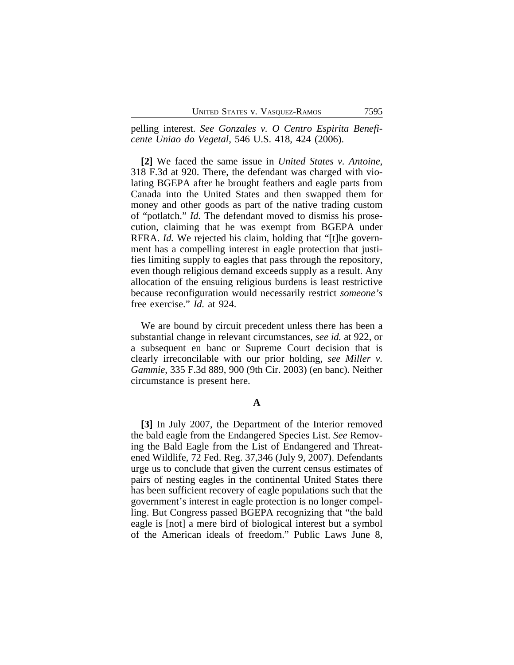pelling interest. *See Gonzales v. O Centro Espirita Beneficente Uniao do Vegetal*, 546 U.S. 418, 424 (2006).

**[2]** We faced the same issue in *United States v. Antoine*, 318 F.3d at 920. There, the defendant was charged with violating BGEPA after he brought feathers and eagle parts from Canada into the United States and then swapped them for money and other goods as part of the native trading custom of "potlatch." *Id.* The defendant moved to dismiss his prosecution, claiming that he was exempt from BGEPA under RFRA. *Id.* We rejected his claim, holding that "[t]he government has a compelling interest in eagle protection that justifies limiting supply to eagles that pass through the repository, even though religious demand exceeds supply as a result. Any allocation of the ensuing religious burdens is least restrictive because reconfiguration would necessarily restrict *someone's* free exercise." *Id.* at 924.

We are bound by circuit precedent unless there has been a substantial change in relevant circumstances, *see id.* at 922, or a subsequent en banc or Supreme Court decision that is clearly irreconcilable with our prior holding, *see Miller v. Gammie*, 335 F.3d 889, 900 (9th Cir. 2003) (en banc). Neither circumstance is present here.

## **A**

**[3]** In July 2007, the Department of the Interior removed the bald eagle from the Endangered Species List. *See* Removing the Bald Eagle from the List of Endangered and Threatened Wildlife, 72 Fed. Reg. 37,346 (July 9, 2007). Defendants urge us to conclude that given the current census estimates of pairs of nesting eagles in the continental United States there has been sufficient recovery of eagle populations such that the government's interest in eagle protection is no longer compelling. But Congress passed BGEPA recognizing that "the bald eagle is [not] a mere bird of biological interest but a symbol of the American ideals of freedom." Public Laws June 8,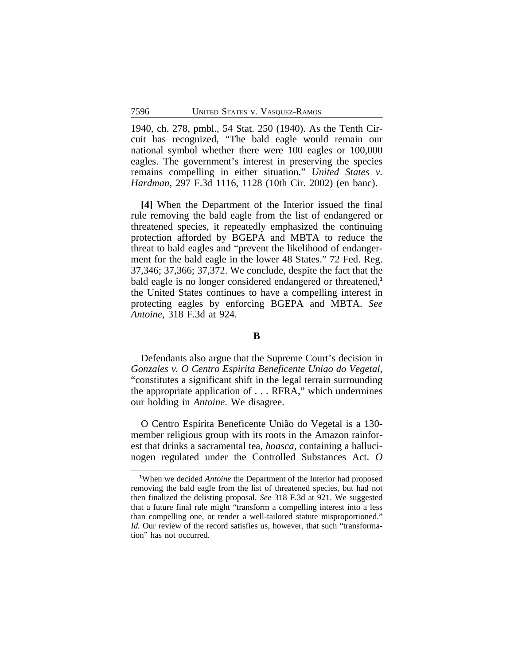1940, ch. 278, pmbl., 54 Stat. 250 (1940). As the Tenth Circuit has recognized, "The bald eagle would remain our national symbol whether there were 100 eagles or 100,000 eagles. The government's interest in preserving the species remains compelling in either situation." *United States v. Hardman*, 297 F.3d 1116, 1128 (10th Cir. 2002) (en banc).

**[4]** When the Department of the Interior issued the final rule removing the bald eagle from the list of endangered or threatened species, it repeatedly emphasized the continuing protection afforded by BGEPA and MBTA to reduce the threat to bald eagles and "prevent the likelihood of endangerment for the bald eagle in the lower 48 States." 72 Fed. Reg. 37,346; 37,366; 37,372. We conclude, despite the fact that the bald eagle is no longer considered endangered or threatened,**<sup>1</sup>** the United States continues to have a compelling interest in protecting eagles by enforcing BGEPA and MBTA. *See Antoine*, 318 F.3d at 924.

# **B**

Defendants also argue that the Supreme Court's decision in *Gonzales v. O Centro Espirita Beneficente Uniao do Vegetal*, "constitutes a significant shift in the legal terrain surrounding the appropriate application of . . . RFRA," which undermines our holding in *Antoine*. We disagree.

O Centro Espírita Beneficente União do Vegetal is a 130 member religious group with its roots in the Amazon rainforest that drinks a sacramental tea, *hoasca*, containing a hallucinogen regulated under the Controlled Substances Act. *O*

**<sup>1</sup>**When we decided *Antoine* the Department of the Interior had proposed removing the bald eagle from the list of threatened species, but had not then finalized the delisting proposal. *See* 318 F.3d at 921. We suggested that a future final rule might "transform a compelling interest into a less than compelling one, or render a well-tailored statute misproportioned." *Id.* Our review of the record satisfies us, however, that such "transformation" has not occurred.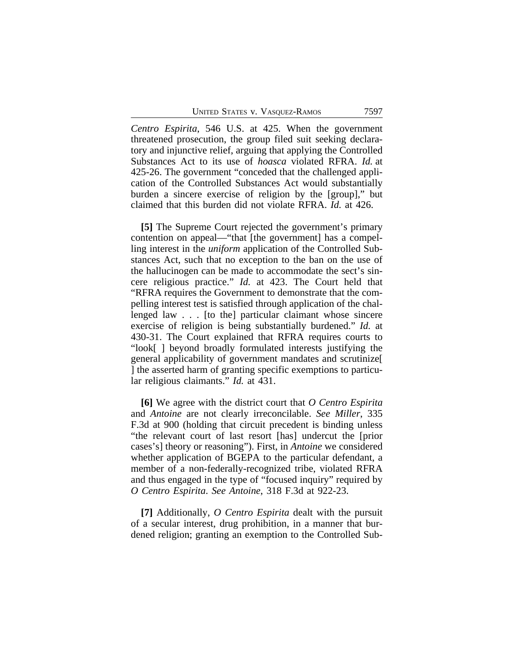*Centro Espirita*, 546 U.S. at 425. When the government threatened prosecution, the group filed suit seeking declaratory and injunctive relief, arguing that applying the Controlled Substances Act to its use of *hoasca* violated RFRA. *Id.* at 425-26. The government "conceded that the challenged application of the Controlled Substances Act would substantially burden a sincere exercise of religion by the [group]," but claimed that this burden did not violate RFRA. *Id.* at 426.

**[5]** The Supreme Court rejected the government's primary contention on appeal—"that [the government] has a compelling interest in the *uniform* application of the Controlled Substances Act, such that no exception to the ban on the use of the hallucinogen can be made to accommodate the sect's sincere religious practice." *Id.* at 423. The Court held that "RFRA requires the Government to demonstrate that the compelling interest test is satisfied through application of the challenged law . . . [to the] particular claimant whose sincere exercise of religion is being substantially burdened." *Id.* at 430-31. The Court explained that RFRA requires courts to "look[ ] beyond broadly formulated interests justifying the general applicability of government mandates and scrutinize[ ] the asserted harm of granting specific exemptions to particular religious claimants." *Id.* at 431.

**[6]** We agree with the district court that *O Centro Espirita* and *Antoine* are not clearly irreconcilable. *See Miller*, 335 F.3d at 900 (holding that circuit precedent is binding unless "the relevant court of last resort [has] undercut the [prior cases's] theory or reasoning"). First, in *Antoine* we considered whether application of BGEPA to the particular defendant, a member of a non-federally-recognized tribe, violated RFRA and thus engaged in the type of "focused inquiry" required by *O Centro Espirita*. *See Antoine*, 318 F.3d at 922-23.

**[7]** Additionally, *O Centro Espirita* dealt with the pursuit of a secular interest, drug prohibition, in a manner that burdened religion; granting an exemption to the Controlled Sub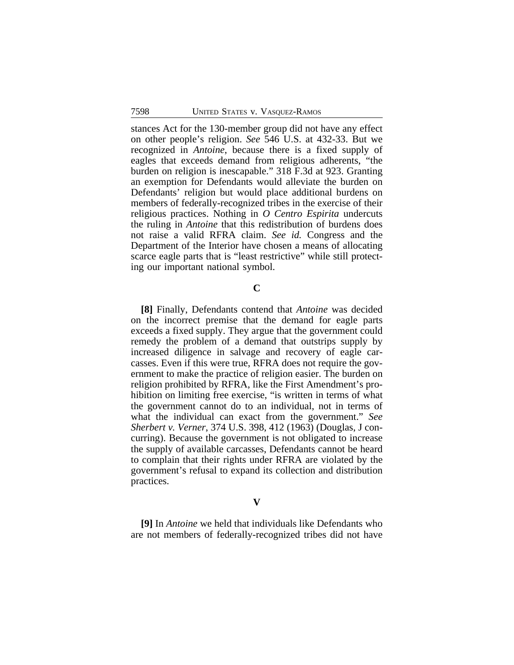stances Act for the 130-member group did not have any effect on other people's religion. *See* 546 U.S. at 432-33. But we recognized in *Antoine*, because there is a fixed supply of eagles that exceeds demand from religious adherents, "the burden on religion is inescapable." 318 F.3d at 923. Granting an exemption for Defendants would alleviate the burden on Defendants' religion but would place additional burdens on members of federally-recognized tribes in the exercise of their religious practices. Nothing in *O Centro Espirita* undercuts the ruling in *Antoine* that this redistribution of burdens does not raise a valid RFRA claim. *See id.* Congress and the Department of the Interior have chosen a means of allocating scarce eagle parts that is "least restrictive" while still protecting our important national symbol.

# **C**

**[8]** Finally, Defendants contend that *Antoine* was decided on the incorrect premise that the demand for eagle parts exceeds a fixed supply. They argue that the government could remedy the problem of a demand that outstrips supply by increased diligence in salvage and recovery of eagle carcasses. Even if this were true, RFRA does not require the government to make the practice of religion easier. The burden on religion prohibited by RFRA, like the First Amendment's prohibition on limiting free exercise, "is written in terms of what the government cannot do to an individual, not in terms of what the individual can exact from the government." *See Sherbert v. Verner*, 374 U.S. 398, 412 (1963) (Douglas, J concurring). Because the government is not obligated to increase the supply of available carcasses, Defendants cannot be heard to complain that their rights under RFRA are violated by the government's refusal to expand its collection and distribution practices.

### **V**

**[9]** In *Antoine* we held that individuals like Defendants who are not members of federally-recognized tribes did not have